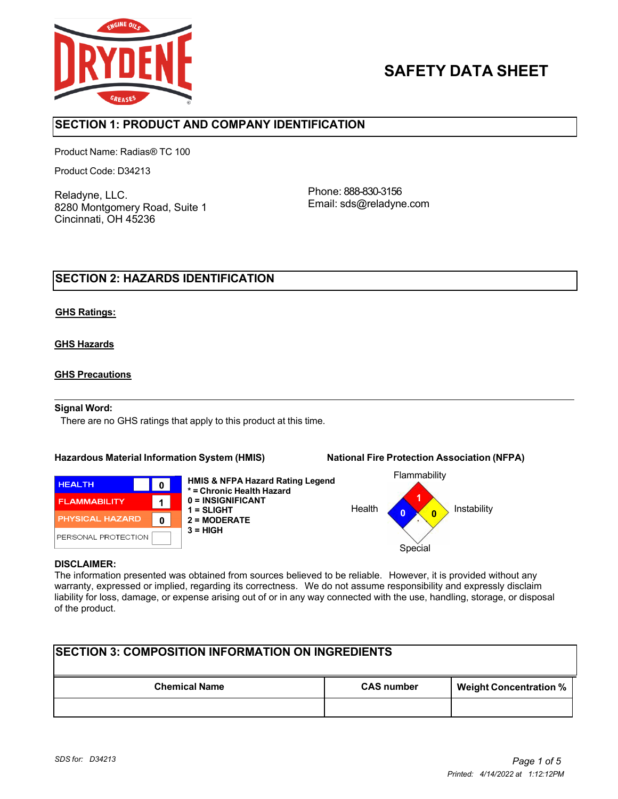

# **SAFETY DATA SHEET**

## **SECTION 1: PRODUCT AND COMPANY IDENTIFICATION**

Product Name: Radias® TC 100

Product Code: D34213

Reladyne, LLC. 8280 Montgomery Road, Suite 1 Cincinnati, OH 45236

Phone: 888-830-3156 Email: sds@reladyne.com

## **SECTION 2: HAZARDS IDENTIFICATION**

#### **GHS Ratings:**

### **GHS Hazards**

### **GHS Precautions**

#### **Signal Word:**

There are no GHS ratings that apply to this product at this time.

#### **Hazardous Material Information System (HMIS) National Fire Protection Association (NFPA)**



**HMIS & NFPA Hazard Rating Legend \* = Chronic Health Hazard 0 = INSIGNIFICANT 1 = SLIGHT 2 = MODERATE 3 = HIGH**



#### **DISCLAIMER:**

The information presented was obtained from sources believed to be reliable. However, it is provided without any warranty, expressed or implied, regarding its correctness. We do not assume responsibility and expressly disclaim liability for loss, damage, or expense arising out of or in any way connected with the use, handling, storage, or disposal of the product.

| <b>SECTION 3: COMPOSITION INFORMATION ON INGREDIENTS</b> |                   |                               |  |
|----------------------------------------------------------|-------------------|-------------------------------|--|
| <b>Chemical Name</b>                                     | <b>CAS number</b> | <b>Weight Concentration %</b> |  |
|                                                          |                   |                               |  |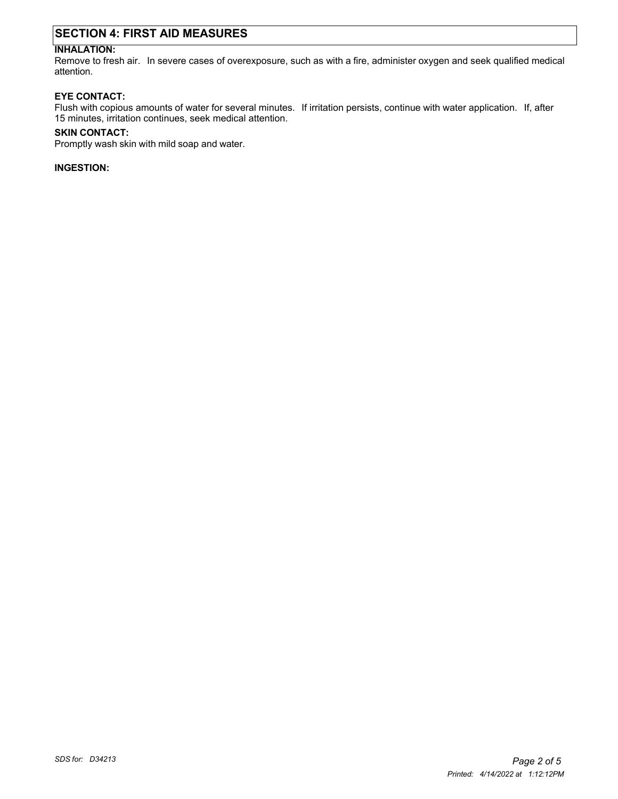## **SECTION 4: FIRST AID MEASURES**

## **INHALATION:**

Remove to fresh air. In severe cases of overexposure, such as with a fire, administer oxygen and seek qualified medical attention.

#### **EYE CONTACT:**

Flush with copious amounts of water for several minutes. If irritation persists, continue with water application. If, after 15 minutes, irritation continues, seek medical attention.

#### **SKIN CONTACT:**

Promptly wash skin with mild soap and water.

**INGESTION:**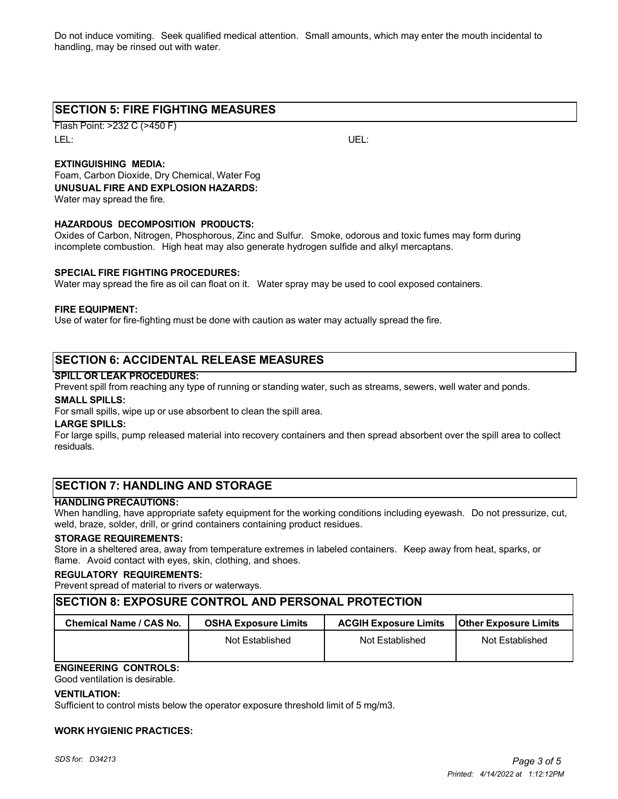Do not induce vomiting. Seek qualified medical attention. Small amounts, which may enter the mouth incidental to handling, may be rinsed out with water.

## **SECTION 5: FIRE FIGHTING MEASURES**

Flash Point: >232 C (>450 F) LEL: UEL:

### **EXTINGUISHING MEDIA:**

Foam, Carbon Dioxide, Dry Chemical, Water Fog **UNUSUAL FIRE AND EXPLOSION HAZARDS:** Water may spread the fire.

#### **HAZARDOUS DECOMPOSITION PRODUCTS:**

Oxides of Carbon, Nitrogen, Phosphorous, Zinc and Sulfur. Smoke, odorous and toxic fumes may form during incomplete combustion. High heat may also generate hydrogen sulfide and alkyl mercaptans.

#### **SPECIAL FIRE FIGHTING PROCEDURES:**

Water may spread the fire as oil can float on it. Water spray may be used to cool exposed containers.

#### **FIRE EQUIPMENT:**

Use of water for fire-fighting must be done with caution as water may actually spread the fire.

## **SECTION 6: ACCIDENTAL RELEASE MEASURES**

#### **SPILL OR LEAK PROCEDURES:**

Prevent spill from reaching any type of running or standing water, such as streams, sewers, well water and ponds.

#### **SMALL SPILLS:**

For small spills, wipe up or use absorbent to clean the spill area.

#### **LARGE SPILLS:**

For large spills, pump released material into recovery containers and then spread absorbent over the spill area to collect residuals.

## **SECTION 7: HANDLING AND STORAGE**

#### **HANDLING PRECAUTIONS:**

When handling, have appropriate safety equipment for the working conditions including eyewash. Do not pressurize, cut, weld, braze, solder, drill, or grind containers containing product residues.

#### **STORAGE REQUIREMENTS:**

Store in a sheltered area, away from temperature extremes in labeled containers. Keep away from heat, sparks, or flame. Avoid contact with eyes, skin, clothing, and shoes.

#### **REGULATORY REQUIREMENTS:**

Prevent spread of material to rivers or waterways.

#### **SECTION 8: EXPOSURE CONTROL AND PERSONAL PROTECTION**

| Chemical Name / CAS No. | <b>OSHA Exposure Limits</b> | <b>ACGIH Exposure Limits</b> | <b>IOther Exposure Limits</b> |
|-------------------------|-----------------------------|------------------------------|-------------------------------|
|                         | Not Established             | Not Established              | Not Established               |

## **ENGINEERING CONTROLS:**

Good ventilation is desirable.

#### **VENTILATION:**

Sufficient to control mists below the operator exposure threshold limit of 5 mg/m3.

#### **WORK HYGIENIC PRACTICES:**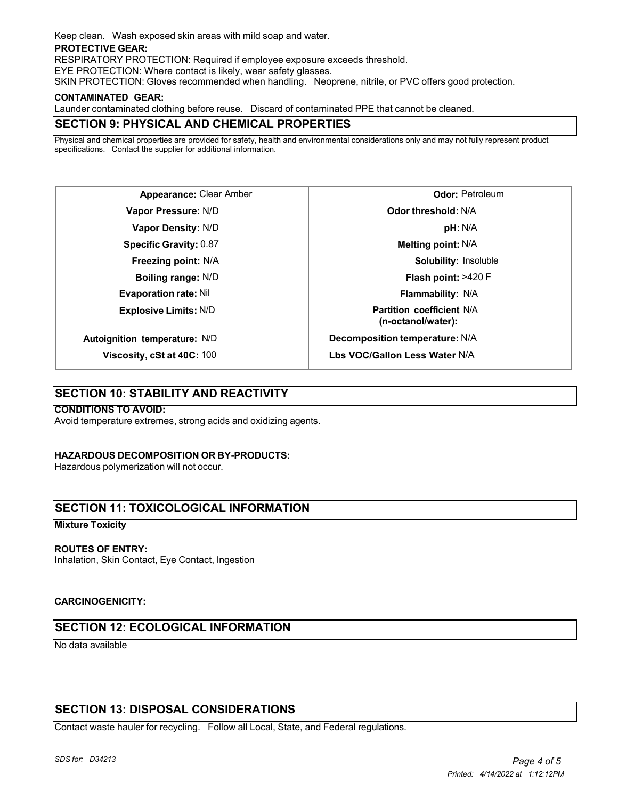Keep clean. Wash exposed skin areas with mild soap and water.

#### **PROTECTIVE GEAR:**

RESPIRATORY PROTECTION: Required if employee exposure exceeds threshold.

EYE PROTECTION: Where contact is likely, wear safety glasses.

SKIN PROTECTION: Gloves recommended when handling. Neoprene, nitrile, or PVC offers good protection.

#### **CONTAMINATED GEAR:**

Launder contaminated clothing before reuse. Discard of contaminated PPE that cannot be cleaned.

## **SECTION 9: PHYSICAL AND CHEMICAL PROPERTIES**

Physical and chemical properties are provided for safety, health and environmental considerations only and may not fully represent product specifications. Contact the supplier for additional information.

**Appearance:** Clear Amber **Vapor Pressure:** N/D **Vapor Density:** N/D **Specific Gravity:** 0.87 **Freezing point:** N/A **Boiling range:** N/D **Evaporation rate:** Nil **Explosive Limits:** N/D **Autoignition temperature:** N/D

**Viscosity, cSt at 40C:** 100

**Odor:** Petroleum **Odor threshold:** N/A **pH:** N/A **Melting point:** N/A **Solubility:** Insoluble **Flash point:** >420 F **Flammability:** N/A **Partition coefficient** N/A **(n-octanol/water): Decomposition temperature:** N/A

**Lbs VOC/Gallon Less Water** N/A

## **SECTION 10: STABILITY AND REACTIVITY**

#### **CONDITIONS TO AVOID:**

Avoid temperature extremes, strong acids and oxidizing agents.

#### **HAZARDOUS DECOMPOSITION OR BY-PRODUCTS:**

Hazardous polymerization will not occur.

## **SECTION 11: TOXICOLOGICAL INFORMATION**

#### **Mixture Toxicity**

#### **ROUTES OF ENTRY:**

Inhalation, Skin Contact, Eye Contact, Ingestion

#### **CARCINOGENICITY:**

## **SECTION 12: ECOLOGICAL INFORMATION**

No data available

## **SECTION 13: DISPOSAL CONSIDERATIONS**

Contact waste hauler for recycling. Follow all Local, State, and Federal regulations.